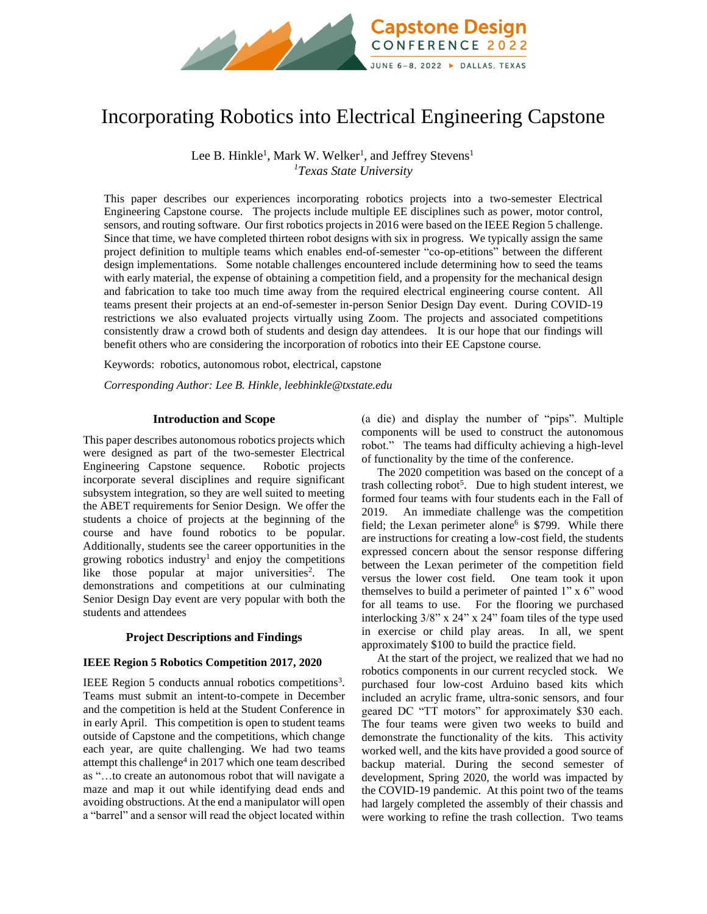

# Incorporating Robotics into Electrical Engineering Capstone

Lee B. Hinkle<sup>1</sup>, Mark W. Welker<sup>1</sup>, and Jeffrey Stevens<sup>1</sup> *<sup>1</sup>Texas State University*

This paper describes our experiences incorporating robotics projects into a two-semester Electrical Engineering Capstone course. The projects include multiple EE disciplines such as power, motor control, sensors, and routing software. Our first robotics projects in 2016 were based on the IEEE Region 5 challenge. Since that time, we have completed thirteen robot designs with six in progress. We typically assign the same project definition to multiple teams which enables end-of-semester "co-op-etitions" between the different design implementations. Some notable challenges encountered include determining how to seed the teams with early material, the expense of obtaining a competition field, and a propensity for the mechanical design and fabrication to take too much time away from the required electrical engineering course content. All teams present their projects at an end-of-semester in-person Senior Design Day event. During COVID-19 restrictions we also evaluated projects virtually using Zoom. The projects and associated competitions consistently draw a crowd both of students and design day attendees. It is our hope that our findings will benefit others who are considering the incorporation of robotics into their EE Capstone course.

Keywords:robotics, autonomous robot, electrical, capstone

*Corresponding Author: Lee B. Hinkle, leebhinkle@txstate.edu*

### **Introduction and Scope**

This paper describes autonomous robotics projects which were designed as part of the two-semester Electrical Engineering Capstone sequence. Robotic projects incorporate several disciplines and require significant subsystem integration, so they are well suited to meeting the ABET requirements for Senior Design. We offer the students a choice of projects at the beginning of the course and have found robotics to be popular. Additionally, students see the career opportunities in the growing robotics industry<sup>1</sup> and enjoy the competitions like those popular at major universities<sup>2</sup>. The demonstrations and competitions at our culminating Senior Design Day event are very popular with both the students and attendees

## **Project Descriptions and Findings**

#### **IEEE Region 5 Robotics Competition 2017, 2020**

IEEE Region 5 conducts annual robotics competitions<sup>3</sup>. Teams must submit an intent-to-compete in December and the competition is held at the Student Conference in in early April. This competition is open to student teams outside of Capstone and the competitions, which change each year, are quite challenging. We had two teams attempt this challenge<sup>4</sup> in 2017 which one team described as "…to create an autonomous robot that will navigate a maze and map it out while identifying dead ends and avoiding obstructions. At the end a manipulator will open a "barrel" and a sensor will read the object located within

(a die) and display the number of "pips". Multiple components will be used to construct the autonomous robot." The teams had difficulty achieving a high-level of functionality by the time of the conference.

The 2020 competition was based on the concept of a trash collecting robot<sup>5</sup>. Due to high student interest, we formed four teams with four students each in the Fall of 2019. An immediate challenge was the competition field; the Lexan perimeter alone<sup>6</sup> is \$799. While there are instructions for creating a low-cost field, the students expressed concern about the sensor response differing between the Lexan perimeter of the competition field versus the lower cost field. One team took it upon themselves to build a perimeter of painted 1" x 6" wood for all teams to use. For the flooring we purchased interlocking 3/8" x 24" x 24" foam tiles of the type used in exercise or child play areas. In all, we spent approximately \$100 to build the practice field.

At the start of the project, we realized that we had no robotics components in our current recycled stock. We purchased four low-cost Arduino based kits which included an acrylic frame, ultra-sonic sensors, and four geared DC "TT motors" for approximately \$30 each. The four teams were given two weeks to build and demonstrate the functionality of the kits. This activity worked well, and the kits have provided a good source of backup material. During the second semester of development, Spring 2020, the world was impacted by the COVID-19 pandemic. At this point two of the teams had largely completed the assembly of their chassis and were working to refine the trash collection. Two teams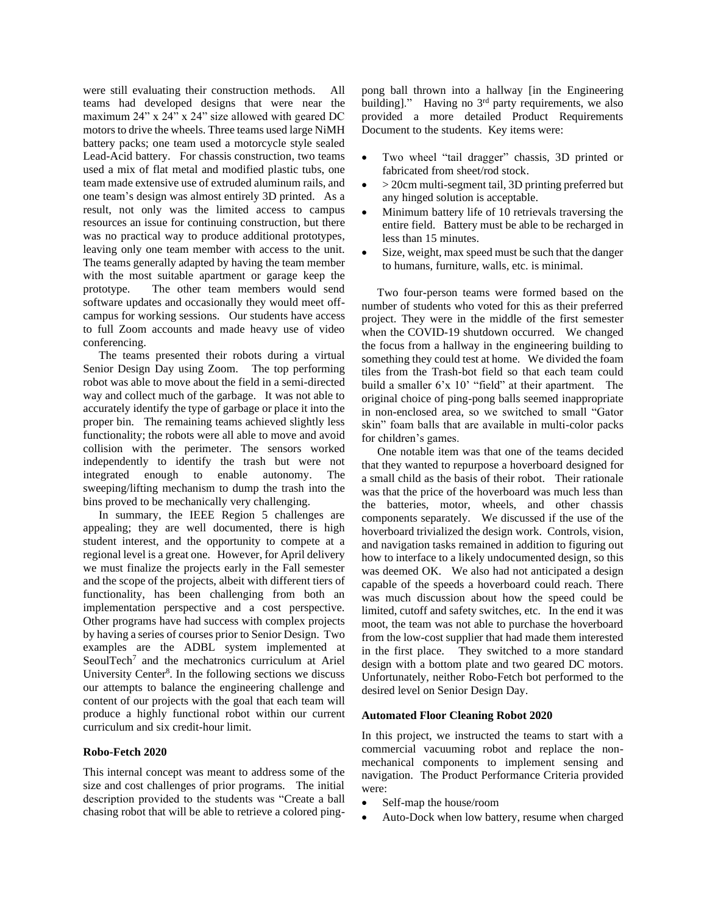were still evaluating their construction methods. All teams had developed designs that were near the maximum 24" x 24" x 24" size allowed with geared DC motors to drive the wheels. Three teams used large NiMH battery packs; one team used a motorcycle style sealed Lead-Acid battery. For chassis construction, two teams used a mix of flat metal and modified plastic tubs, one team made extensive use of extruded aluminum rails, and one team's design was almost entirely 3D printed. As a result, not only was the limited access to campus resources an issue for continuing construction, but there was no practical way to produce additional prototypes, leaving only one team member with access to the unit. The teams generally adapted by having the team member with the most suitable apartment or garage keep the prototype. The other team members would send software updates and occasionally they would meet offcampus for working sessions. Our students have access to full Zoom accounts and made heavy use of video conferencing.

The teams presented their robots during a virtual Senior Design Day using Zoom. The top performing robot was able to move about the field in a semi-directed way and collect much of the garbage. It was not able to accurately identify the type of garbage or place it into the proper bin. The remaining teams achieved slightly less functionality; the robots were all able to move and avoid collision with the perimeter. The sensors worked independently to identify the trash but were not integrated enough to enable autonomy. The sweeping/lifting mechanism to dump the trash into the bins proved to be mechanically very challenging.

In summary, the IEEE Region 5 challenges are appealing; they are well documented, there is high student interest, and the opportunity to compete at a regional level is a great one. However, for April delivery we must finalize the projects early in the Fall semester and the scope of the projects, albeit with different tiers of functionality, has been challenging from both an implementation perspective and a cost perspective. Other programs have had success with complex projects by having a series of courses prior to Senior Design. Two examples are the ADBL system implemented at SeoulTech<sup>7</sup> and the mechatronics curriculum at Ariel University Center<sup>8</sup>. In the following sections we discuss our attempts to balance the engineering challenge and content of our projects with the goal that each team will produce a highly functional robot within our current curriculum and six credit-hour limit.

## **Robo-Fetch 2020**

This internal concept was meant to address some of the size and cost challenges of prior programs. The initial description provided to the students was "Create a ball chasing robot that will be able to retrieve a colored pingpong ball thrown into a hallway [in the Engineering building]." Having no 3<sup>rd</sup> party requirements, we also provided a more detailed Product Requirements Document to the students. Key items were:

- Two wheel "tail dragger" chassis, 3D printed or fabricated from sheet/rod stock.
- > 20cm multi-segment tail, 3D printing preferred but any hinged solution is acceptable.
- Minimum battery life of 10 retrievals traversing the entire field. Battery must be able to be recharged in less than 15 minutes.
- Size, weight, max speed must be such that the danger to humans, furniture, walls, etc. is minimal.

Two four-person teams were formed based on the number of students who voted for this as their preferred project. They were in the middle of the first semester when the COVID-19 shutdown occurred. We changed the focus from a hallway in the engineering building to something they could test at home. We divided the foam tiles from the Trash-bot field so that each team could build a smaller 6'x 10' "field" at their apartment. The original choice of ping-pong balls seemed inappropriate in non-enclosed area, so we switched to small "Gator skin" foam balls that are available in multi-color packs for children's games.

One notable item was that one of the teams decided that they wanted to repurpose a hoverboard designed for a small child as the basis of their robot. Their rationale was that the price of the hoverboard was much less than the batteries, motor, wheels, and other chassis components separately. We discussed if the use of the hoverboard trivialized the design work. Controls, vision, and navigation tasks remained in addition to figuring out how to interface to a likely undocumented design, so this was deemed OK. We also had not anticipated a design capable of the speeds a hoverboard could reach. There was much discussion about how the speed could be limited, cutoff and safety switches, etc. In the end it was moot, the team was not able to purchase the hoverboard from the low-cost supplier that had made them interested in the first place. They switched to a more standard design with a bottom plate and two geared DC motors. Unfortunately, neither Robo-Fetch bot performed to the desired level on Senior Design Day.

## **Automated Floor Cleaning Robot 2020**

In this project, we instructed the teams to start with a commercial vacuuming robot and replace the nonmechanical components to implement sensing and navigation. The Product Performance Criteria provided were:

- Self-map the house/room
- Auto-Dock when low battery, resume when charged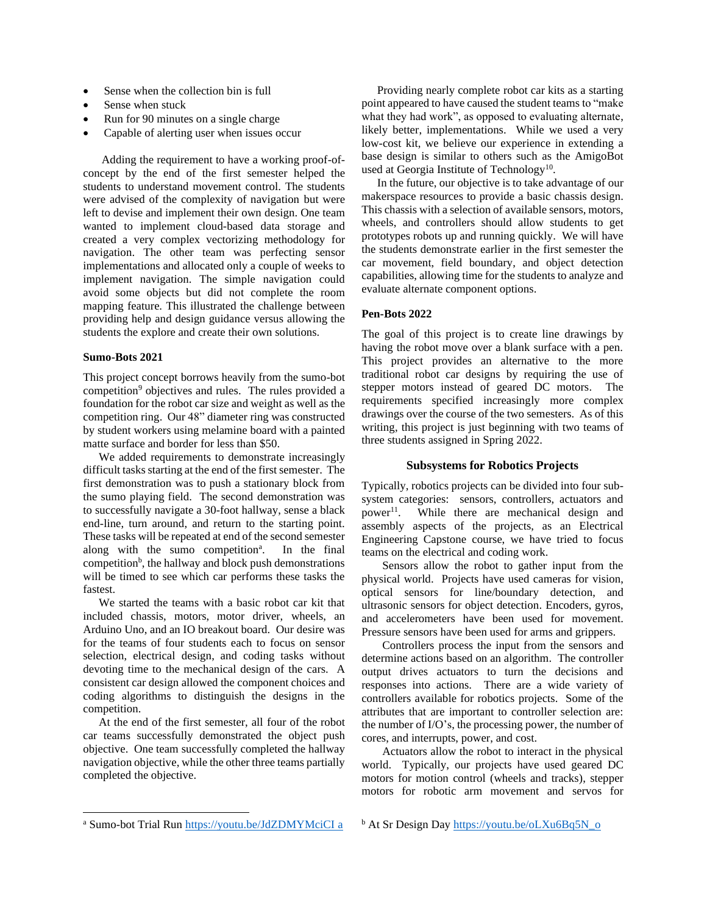- Sense when the collection bin is full
- Sense when stuck
- Run for 90 minutes on a single charge
- Capable of alerting user when issues occur

Adding the requirement to have a working proof-ofconcept by the end of the first semester helped the students to understand movement control. The students were advised of the complexity of navigation but were left to devise and implement their own design. One team wanted to implement cloud-based data storage and created a very complex vectorizing methodology for navigation. The other team was perfecting sensor implementations and allocated only a couple of weeks to implement navigation. The simple navigation could avoid some objects but did not complete the room mapping feature. This illustrated the challenge between providing help and design guidance versus allowing the students the explore and create their own solutions.

### **Sumo-Bots 2021**

This project concept borrows heavily from the sumo-bot competition<sup>9</sup> objectives and rules. The rules provided a foundation for the robot car size and weight as well as the competition ring. Our 48" diameter ring was constructed by student workers using melamine board with a painted matte surface and border for less than \$50.

We added requirements to demonstrate increasingly difficult tasks starting at the end of the first semester. The first demonstration was to push a stationary block from the sumo playing field. The second demonstration was to successfully navigate a 30-foot hallway, sense a black end-line, turn around, and return to the starting point. These tasks will be repeated at end of the second semester along with the sumo competition<sup>a</sup>. . In the final competition<sup>b</sup>, the hallway and block push demonstrations will be timed to see which car performs these tasks the fastest.

We started the teams with a basic robot car kit that included chassis, motors, motor driver, wheels, an Arduino Uno, and an IO breakout board. Our desire was for the teams of four students each to focus on sensor selection, electrical design, and coding tasks without devoting time to the mechanical design of the cars. A consistent car design allowed the component choices and coding algorithms to distinguish the designs in the competition.

At the end of the first semester, all four of the robot car teams successfully demonstrated the object push objective. One team successfully completed the hallway navigation objective, while the other three teams partially completed the objective.

Providing nearly complete robot car kits as a starting point appeared to have caused the student teams to "make what they had work", as opposed to evaluating alternate, likely better, implementations. While we used a very low-cost kit, we believe our experience in extending a base design is similar to others such as the AmigoBot used at Georgia Institute of Technology<sup>10</sup>.

In the future, our objective is to take advantage of our makerspace resources to provide a basic chassis design. This chassis with a selection of available sensors, motors, wheels, and controllers should allow students to get prototypes robots up and running quickly. We will have the students demonstrate earlier in the first semester the car movement, field boundary, and object detection capabilities, allowing time for the students to analyze and evaluate alternate component options.

## **Pen-Bots 2022**

The goal of this project is to create line drawings by having the robot move over a blank surface with a pen. This project provides an alternative to the more traditional robot car designs by requiring the use of stepper motors instead of geared DC motors. The requirements specified increasingly more complex drawings over the course of the two semesters. As of this writing, this project is just beginning with two teams of three students assigned in Spring 2022.

## **Subsystems for Robotics Projects**

Typically, robotics projects can be divided into four subsystem categories: sensors, controllers, actuators and  $power^{11}$ . . While there are mechanical design and assembly aspects of the projects, as an Electrical Engineering Capstone course, we have tried to focus teams on the electrical and coding work.

Sensors allow the robot to gather input from the physical world. Projects have used cameras for vision, optical sensors for line/boundary detection, and ultrasonic sensors for object detection. Encoders, gyros, and accelerometers have been used for movement. Pressure sensors have been used for arms and grippers.

Controllers process the input from the sensors and determine actions based on an algorithm. The controller output drives actuators to turn the decisions and responses into actions. There are a wide variety of controllers available for robotics projects. Some of the attributes that are important to controller selection are: the number of I/O's, the processing power, the number of cores, and interrupts, power, and cost.

Actuators allow the robot to interact in the physical world. Typically, our projects have used geared DC motors for motion control (wheels and tracks), stepper motors for robotic arm movement and servos for

<sup>a</sup> Sumo-bot Trial Run<https://youtu.be/JdZDMYMciCI> a

b At Sr Design Day [https://youtu.be/oLXu6Bq5N\\_o](https://youtu.be/oLXu6Bq5N_o)